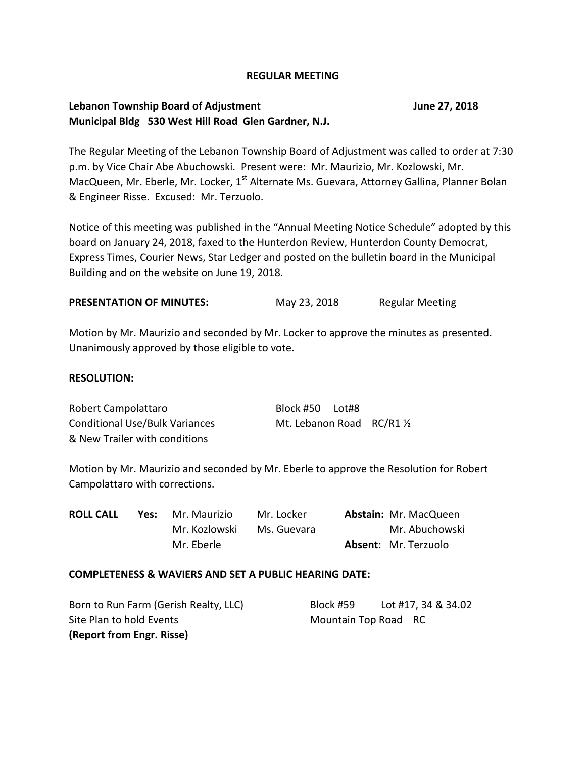#### **REGULAR MEETING**

# **Lebanon Township Board of Adjustment June 27, 2018 Municipal Bldg 530 West Hill Road Glen Gardner, N.J.**

The Regular Meeting of the Lebanon Township Board of Adjustment was called to order at 7:30 p.m. by Vice Chair Abe Abuchowski. Present were: Mr. Maurizio, Mr. Kozlowski, Mr. MacQueen, Mr. Eberle, Mr. Locker, 1<sup>st</sup> Alternate Ms. Guevara, Attorney Gallina, Planner Bolan & Engineer Risse. Excused: Mr. Terzuolo.

Notice of this meeting was published in the "Annual Meeting Notice Schedule" adopted by this board on January 24, 2018, faxed to the Hunterdon Review, Hunterdon County Democrat, Express Times, Courier News, Star Ledger and posted on the bulletin board in the Municipal Building and on the website on June 19, 2018.

| <b>PRESENTATION OF MINUTES:</b> | May 23, 2018 | <b>Regular Meeting</b> |
|---------------------------------|--------------|------------------------|
|---------------------------------|--------------|------------------------|

Motion by Mr. Maurizio and seconded by Mr. Locker to approve the minutes as presented. Unanimously approved by those eligible to vote.

## **RESOLUTION:**

Robert Campolattaro Block #50 Lot#8 Conditional Use/Bulk Variances Mt. Lebanon Road RC/R1 1/2 & New Trailer with conditions

Motion by Mr. Maurizio and seconded by Mr. Eberle to approve the Resolution for Robert Campolattaro with corrections.

| <b>ROLL CALL</b> | Yes: | Mr. Maurizio  | Mr. Locker  | <b>Abstain: Mr. MacQueen</b> |
|------------------|------|---------------|-------------|------------------------------|
|                  |      | Mr. Kozlowski | Ms. Guevara | Mr. Abuchowski               |
|                  |      | Mr. Eberle    |             | <b>Absent: Mr. Terzuolo</b>  |

#### **COMPLETENESS & WAVIERS AND SET A PUBLIC HEARING DATE:**

| Born to Run Farm (Gerish Realty, LLC) | Block #59            | Lot #17, 34 & 34.02 |
|---------------------------------------|----------------------|---------------------|
| Site Plan to hold Events              | Mountain Top Road RC |                     |
| (Report from Engr. Risse)             |                      |                     |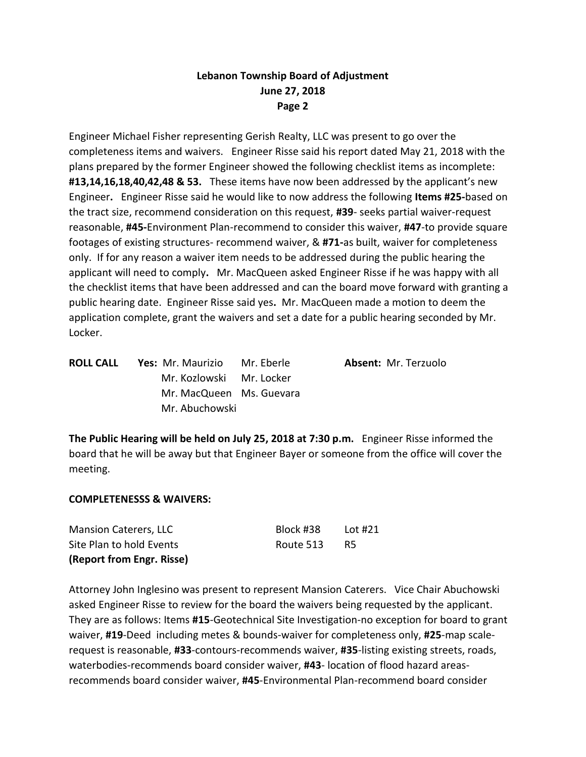Engineer Michael Fisher representing Gerish Realty, LLC was present to go over the completeness items and waivers. Engineer Risse said his report dated May 21, 2018 with the plans prepared by the former Engineer showed the following checklist items as incomplete: **#13,14,16,18,40,42,48 & 53.** These items have now been addressed by the applicant's new Engineer**.** Engineer Risse said he would like to now address the following **Items #25-**based on the tract size, recommend consideration on this request, **#39**- seeks partial waiver-request reasonable, **#45-**Environment Plan-recommend to consider this waiver, **#47**-to provide square footages of existing structures- recommend waiver, & **#71-**as built, waiver for completeness only. If for any reason a waiver item needs to be addressed during the public hearing the applicant will need to comply**.** Mr. MacQueen asked Engineer Risse if he was happy with all the checklist items that have been addressed and can the board move forward with granting a public hearing date. Engineer Risse said yes**.** Mr. MacQueen made a motion to deem the application complete, grant the waivers and set a date for a public hearing seconded by Mr. Locker.

| <b>ROLL CALL</b> | Yes: Mr. Maurizio        | Mr. Eberle | Absent: Mr. Terzuolo |
|------------------|--------------------------|------------|----------------------|
|                  | Mr. Kozlowski Mr. Locker |            |                      |
|                  | Mr. MacQueen Ms. Guevara |            |                      |
|                  | Mr. Abuchowski           |            |                      |
|                  |                          |            |                      |

**The Public Hearing will be held on July 25, 2018 at 7:30 p.m.** Engineer Risse informed the board that he will be away but that Engineer Bayer or someone from the office will cover the meeting.

## **COMPLETENESSS & WAIVERS:**

| (Report from Engr. Risse) |           |         |
|---------------------------|-----------|---------|
| Site Plan to hold Events  | Route 513 | - R5    |
| Mansion Caterers, LLC     | Block #38 | Lot #21 |

Attorney John Inglesino was present to represent Mansion Caterers. Vice Chair Abuchowski asked Engineer Risse to review for the board the waivers being requested by the applicant. They are as follows: Items **#15**-Geotechnical Site Investigation-no exception for board to grant waiver, **#19**-Deed including metes & bounds-waiver for completeness only, **#25**-map scalerequest is reasonable, **#33**-contours-recommends waiver, **#35**-listing existing streets, roads, waterbodies-recommends board consider waiver, **#43**- location of flood hazard areasrecommends board consider waiver, **#45**-Environmental Plan-recommend board consider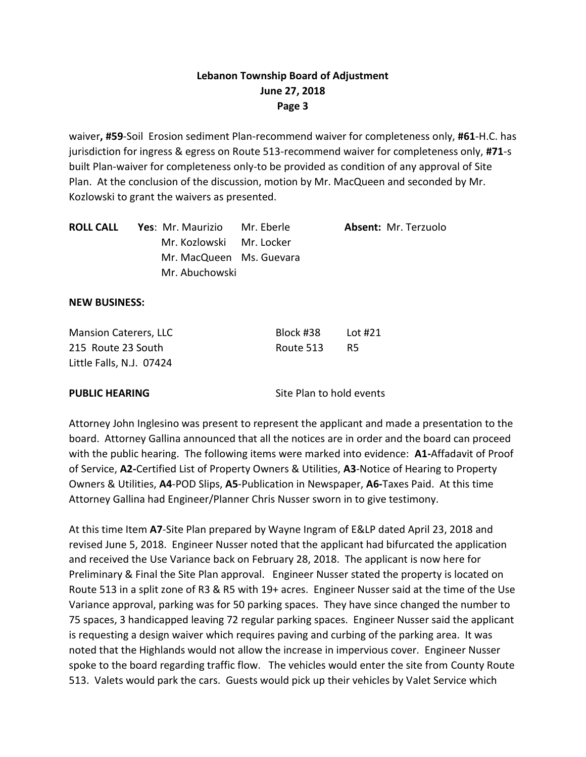waiver**, #59**-Soil Erosion sediment Plan-recommend waiver for completeness only, **#61**-H.C. has jurisdiction for ingress & egress on Route 513-recommend waiver for completeness only, **#71**-s built Plan-waiver for completeness only-to be provided as condition of any approval of Site Plan. At the conclusion of the discussion, motion by Mr. MacQueen and seconded by Mr. Kozlowski to grant the waivers as presented.

| <b>ROLL CALL</b> | Yes: Mr. Maurizio        | Mr. Eberle | Absent: Mr. Terzuolo |
|------------------|--------------------------|------------|----------------------|
|                  | Mr. Kozlowski Mr. Locker |            |                      |
|                  | Mr. MacQueen Ms. Guevara |            |                      |
|                  | Mr. Abuchowski           |            |                      |

#### **NEW BUSINESS:**

| <b>Mansion Caterers, LLC</b> | Block #38 | Lot #21 |
|------------------------------|-----------|---------|
| 215 Route 23 South           | Route 513 | -R5     |
| Little Falls, N.J. 07424     |           |         |

**PUBLIC HEARING** Site Plan to hold events

Attorney John Inglesino was present to represent the applicant and made a presentation to the board. Attorney Gallina announced that all the notices are in order and the board can proceed with the public hearing. The following items were marked into evidence: **A1-**Affadavit of Proof of Service, **A2-**Certified List of Property Owners & Utilities, **A3**-Notice of Hearing to Property Owners & Utilities, **A4**-POD Slips, **A5**-Publication in Newspaper, **A6-**Taxes Paid. At this time Attorney Gallina had Engineer/Planner Chris Nusser sworn in to give testimony.

At this time Item **A7**-Site Plan prepared by Wayne Ingram of E&LP dated April 23, 2018 and revised June 5, 2018. Engineer Nusser noted that the applicant had bifurcated the application and received the Use Variance back on February 28, 2018. The applicant is now here for Preliminary & Final the Site Plan approval. Engineer Nusser stated the property is located on Route 513 in a split zone of R3 & R5 with 19+ acres. Engineer Nusser said at the time of the Use Variance approval, parking was for 50 parking spaces. They have since changed the number to 75 spaces, 3 handicapped leaving 72 regular parking spaces. Engineer Nusser said the applicant is requesting a design waiver which requires paving and curbing of the parking area. It was noted that the Highlands would not allow the increase in impervious cover. Engineer Nusser spoke to the board regarding traffic flow. The vehicles would enter the site from County Route 513. Valets would park the cars. Guests would pick up their vehicles by Valet Service which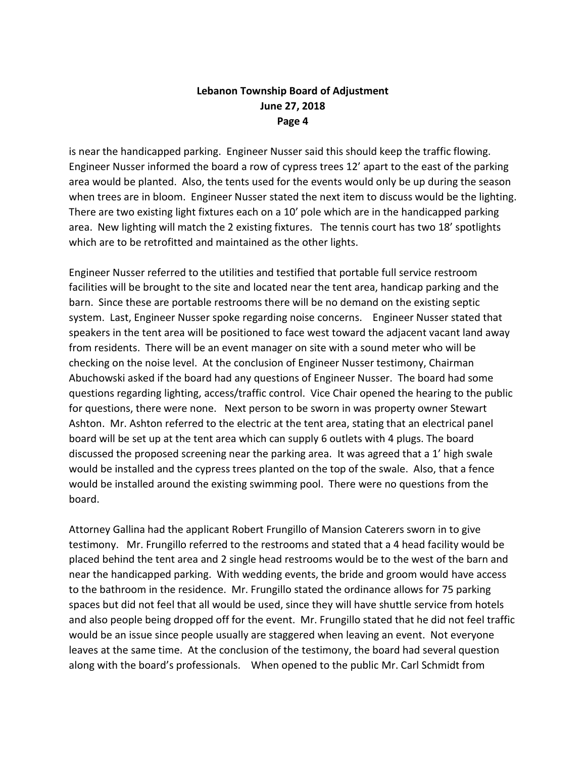is near the handicapped parking. Engineer Nusser said this should keep the traffic flowing. Engineer Nusser informed the board a row of cypress trees 12' apart to the east of the parking area would be planted. Also, the tents used for the events would only be up during the season when trees are in bloom. Engineer Nusser stated the next item to discuss would be the lighting. There are two existing light fixtures each on a 10' pole which are in the handicapped parking area. New lighting will match the 2 existing fixtures. The tennis court has two 18' spotlights which are to be retrofitted and maintained as the other lights.

Engineer Nusser referred to the utilities and testified that portable full service restroom facilities will be brought to the site and located near the tent area, handicap parking and the barn. Since these are portable restrooms there will be no demand on the existing septic system. Last, Engineer Nusser spoke regarding noise concerns. Engineer Nusser stated that speakers in the tent area will be positioned to face west toward the adjacent vacant land away from residents. There will be an event manager on site with a sound meter who will be checking on the noise level. At the conclusion of Engineer Nusser testimony, Chairman Abuchowski asked if the board had any questions of Engineer Nusser. The board had some questions regarding lighting, access/traffic control. Vice Chair opened the hearing to the public for questions, there were none. Next person to be sworn in was property owner Stewart Ashton. Mr. Ashton referred to the electric at the tent area, stating that an electrical panel board will be set up at the tent area which can supply 6 outlets with 4 plugs. The board discussed the proposed screening near the parking area. It was agreed that a 1' high swale would be installed and the cypress trees planted on the top of the swale. Also, that a fence would be installed around the existing swimming pool. There were no questions from the board.

Attorney Gallina had the applicant Robert Frungillo of Mansion Caterers sworn in to give testimony. Mr. Frungillo referred to the restrooms and stated that a 4 head facility would be placed behind the tent area and 2 single head restrooms would be to the west of the barn and near the handicapped parking. With wedding events, the bride and groom would have access to the bathroom in the residence. Mr. Frungillo stated the ordinance allows for 75 parking spaces but did not feel that all would be used, since they will have shuttle service from hotels and also people being dropped off for the event. Mr. Frungillo stated that he did not feel traffic would be an issue since people usually are staggered when leaving an event. Not everyone leaves at the same time. At the conclusion of the testimony, the board had several question along with the board's professionals. When opened to the public Mr. Carl Schmidt from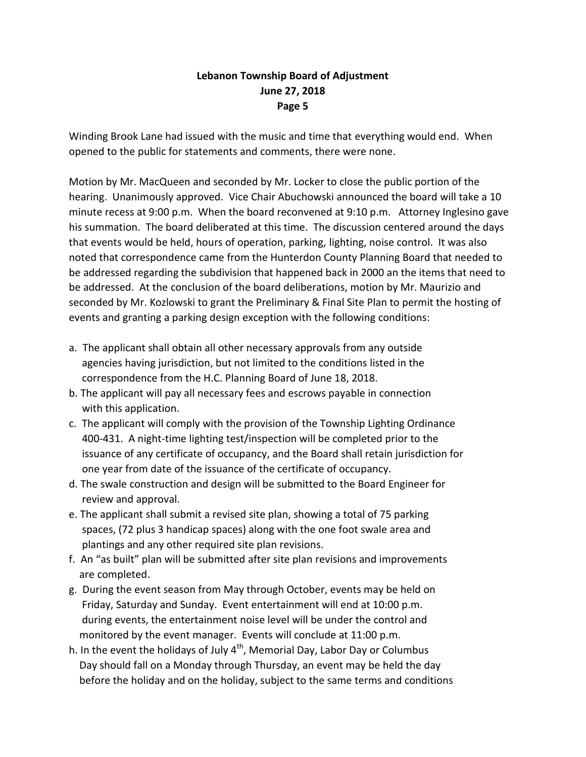Winding Brook Lane had issued with the music and time that everything would end. When opened to the public for statements and comments, there were none.

Motion by Mr. MacQueen and seconded by Mr. Locker to close the public portion of the hearing. Unanimously approved. Vice Chair Abuchowski announced the board will take a 10 minute recess at 9:00 p.m. When the board reconvened at 9:10 p.m. Attorney Inglesino gave his summation. The board deliberated at this time. The discussion centered around the days that events would be held, hours of operation, parking, lighting, noise control. It was also noted that correspondence came from the Hunterdon County Planning Board that needed to be addressed regarding the subdivision that happened back in 2000 an the items that need to be addressed. At the conclusion of the board deliberations, motion by Mr. Maurizio and seconded by Mr. Kozlowski to grant the Preliminary & Final Site Plan to permit the hosting of events and granting a parking design exception with the following conditions:

- a. The applicant shall obtain all other necessary approvals from any outside agencies having jurisdiction, but not limited to the conditions listed in the correspondence from the H.C. Planning Board of June 18, 2018.
- b. The applicant will pay all necessary fees and escrows payable in connection with this application.
- c. The applicant will comply with the provision of the Township Lighting Ordinance 400-431. A night-time lighting test/inspection will be completed prior to the issuance of any certificate of occupancy, and the Board shall retain jurisdiction for one year from date of the issuance of the certificate of occupancy.
- d. The swale construction and design will be submitted to the Board Engineer for review and approval.
- e. The applicant shall submit a revised site plan, showing a total of 75 parking spaces, (72 plus 3 handicap spaces) along with the one foot swale area and plantings and any other required site plan revisions.
- f. An "as built" plan will be submitted after site plan revisions and improvements are completed.
- g. During the event season from May through October, events may be held on Friday, Saturday and Sunday. Event entertainment will end at 10:00 p.m. during events, the entertainment noise level will be under the control and monitored by the event manager. Events will conclude at 11:00 p.m.
- h. In the event the holidays of July  $4<sup>th</sup>$ , Memorial Day, Labor Day or Columbus Day should fall on a Monday through Thursday, an event may be held the day before the holiday and on the holiday, subject to the same terms and conditions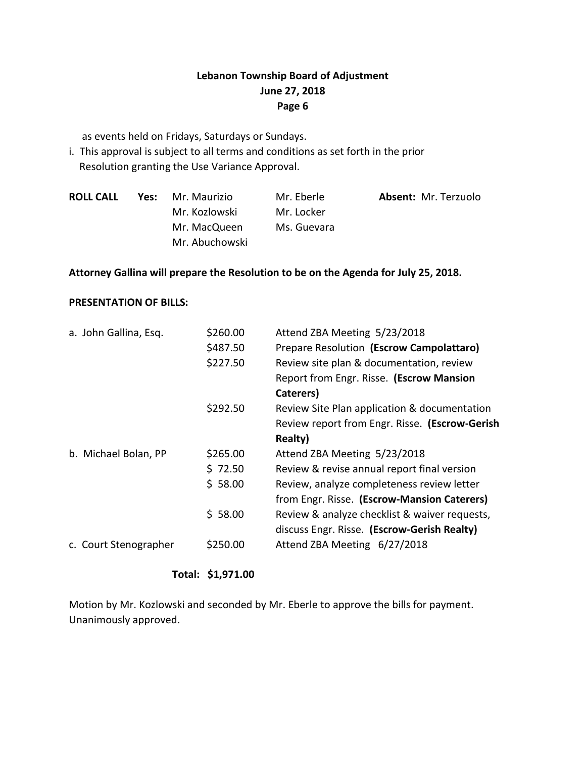as events held on Fridays, Saturdays or Sundays.

i. This approval is subject to all terms and conditions as set forth in the prior Resolution granting the Use Variance Approval.

| <b>ROLL CALL</b> | Yes: Mr. Maurizio | Mr. Eberle  | <b>Absent: Mr. Terzuolo</b> |
|------------------|-------------------|-------------|-----------------------------|
|                  | Mr. Kozlowski     | Mr. Locker  |                             |
|                  | Mr. MacQueen      | Ms. Guevara |                             |
|                  | Mr. Abuchowski    |             |                             |

## **Attorney Gallina will prepare the Resolution to be on the Agenda for July 25, 2018.**

## **PRESENTATION OF BILLS:**

| a. John Gallina, Esq. | \$260.00 | Attend ZBA Meeting 5/23/2018                   |
|-----------------------|----------|------------------------------------------------|
|                       | \$487.50 | Prepare Resolution (Escrow Campolattaro)       |
|                       | \$227.50 | Review site plan & documentation, review       |
|                       |          | Report from Engr. Risse. (Escrow Mansion       |
|                       |          | Caterers)                                      |
|                       | \$292.50 | Review Site Plan application & documentation   |
|                       |          | Review report from Engr. Risse. (Escrow-Gerish |
|                       |          | Realty)                                        |
| b. Michael Bolan, PP  | \$265.00 | Attend ZBA Meeting 5/23/2018                   |
|                       | \$72.50  | Review & revise annual report final version    |
|                       | \$58.00  | Review, analyze completeness review letter     |
|                       |          | from Engr. Risse. (Escrow-Mansion Caterers)    |
|                       | \$58.00  | Review & analyze checklist & waiver requests,  |
|                       |          | discuss Engr. Risse. (Escrow-Gerish Realty)    |
| c. Court Stenographer | \$250.00 | Attend ZBA Meeting 6/27/2018                   |
|                       |          |                                                |

**Total: \$1,971.00**

Motion by Mr. Kozlowski and seconded by Mr. Eberle to approve the bills for payment. Unanimously approved.